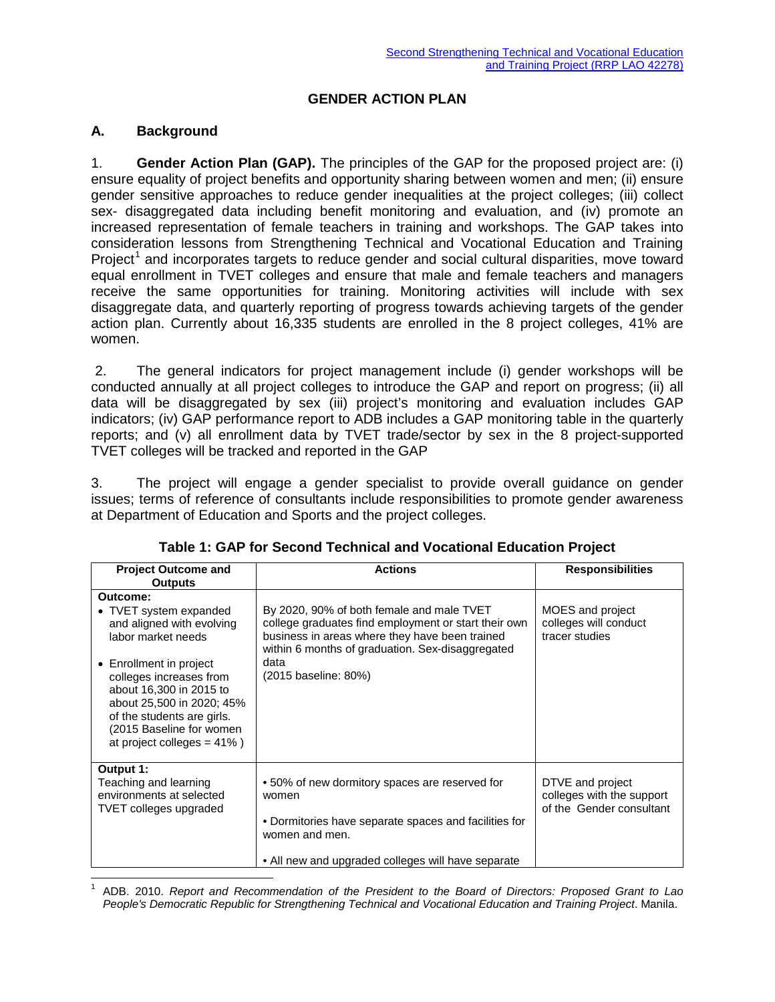## **GENDER ACTION PLAN**

## **A. Background**

1. **Gender Action Plan (GAP).** The principles of the GAP for the proposed project are: (i) ensure equality of project benefits and opportunity sharing between women and men; (ii) ensure gender sensitive approaches to reduce gender inequalities at the project colleges; (iii) collect sex- disaggregated data including benefit monitoring and evaluation, and (iv) promote an increased representation of female teachers in training and workshops. The GAP takes into consideration lessons from Strengthening Technical and Vocational Education and Training Project<sup>[1](#page-0-0)</sup> and incorporates targets to reduce gender and social cultural disparities, move toward equal enrollment in TVET colleges and ensure that male and female teachers and managers receive the same opportunities for training. Monitoring activities will include with sex disaggregate data, and quarterly reporting of progress towards achieving targets of the gender action plan. Currently about 16,335 students are enrolled in the 8 project colleges, 41% are women.

2. The general indicators for project management include (i) gender workshops will be conducted annually at all project colleges to introduce the GAP and report on progress; (ii) all data will be disaggregated by sex (iii) project's monitoring and evaluation includes GAP indicators; (iv) GAP performance report to ADB includes a GAP monitoring table in the quarterly reports; and (v) all enrollment data by TVET trade/sector by sex in the 8 project-supported TVET colleges will be tracked and reported in the GAP

3. The project will engage a gender specialist to provide overall guidance on gender issues; terms of reference of consultants include responsibilities to promote gender awareness at Department of Education and Sports and the project colleges.

| <b>Project Outcome and</b>                                                                                                                                                                             | <b>Actions</b>                                                                                                                                                                                          | <b>Responsibilities</b>                                     |
|--------------------------------------------------------------------------------------------------------------------------------------------------------------------------------------------------------|---------------------------------------------------------------------------------------------------------------------------------------------------------------------------------------------------------|-------------------------------------------------------------|
| <b>Outputs</b>                                                                                                                                                                                         |                                                                                                                                                                                                         |                                                             |
| Outcome:                                                                                                                                                                                               |                                                                                                                                                                                                         |                                                             |
| • TVET system expanded<br>and aligned with evolving<br>labor market needs                                                                                                                              | By 2020, 90% of both female and male TVET<br>college graduates find employment or start their own<br>business in areas where they have been trained<br>within 6 months of graduation. Sex-disaggregated | MOES and project<br>colleges will conduct<br>tracer studies |
| • Enrollment in project<br>colleges increases from<br>about 16,300 in 2015 to<br>about 25,500 in 2020; 45%<br>of the students are girls.<br>(2015 Baseline for women<br>at project colleges = $41\%$ ) | data<br>(2015 baseline: 80%)                                                                                                                                                                            |                                                             |
| Output 1:<br>Teaching and learning                                                                                                                                                                     | • 50% of new dormitory spaces are reserved for                                                                                                                                                          | DTVE and project                                            |
| environments at selected<br><b>TVET</b> colleges upgraded                                                                                                                                              | women                                                                                                                                                                                                   | colleges with the support<br>of the Gender consultant       |
|                                                                                                                                                                                                        | • Dormitories have separate spaces and facilities for<br>women and men.                                                                                                                                 |                                                             |
|                                                                                                                                                                                                        | • All new and upgraded colleges will have separate                                                                                                                                                      |                                                             |

**Table 1: GAP for Second Technical and Vocational Education Project**

<span id="page-0-0"></span> 1 ADB. 2010. *Report and Recommendation of the President to the Board of Directors: Proposed Grant to Lao People's Democratic Republic for Strengthening Technical and Vocational Education and Training Project*. Manila.